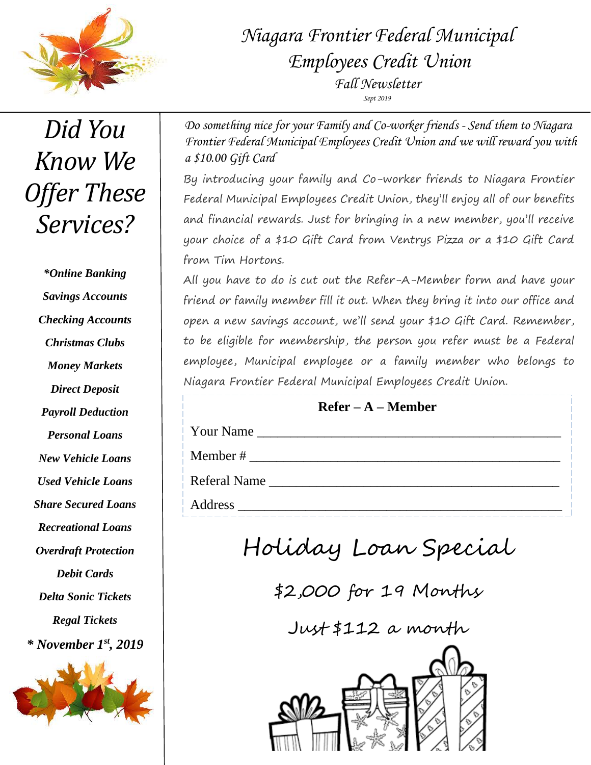

# *Niagara Frontier Federal Municipal Employees Credit Union Fall Newsletter Sept 2019*

*Did You Know We Offer These Services?*

*\*Online Banking Savings Accounts Checking Accounts Christmas Clubs Money Markets Direct Deposit Payroll Deduction Personal Loans New Vehicle Loans Used Vehicle Loans Share Secured Loans Recreational Loans Overdraft Protection Debit Cards Delta Sonic Tickets Regal Tickets \* November 1st, 2019*



*Do something nice for your Family and Co-worker friends - Send them to Niagara Frontier Federal Municipal Employees Credit Union and we will reward you with a \$10.00 Gift Card*

By introducing your family and Co-worker friends to Niagara Frontier Federal Municipal Employees Credit Union, they'll enjoy all of our benefits and financial rewards. Just for bringing in a new member, you'll receive your choice of a \$10 Gift Card from Ventrys Pizza or a \$10 Gift Card from Tim Hortons.

All you have to do is cut out the Refer-A-Member form and have your friend or family member fill it out. When they bring it into our office and open a new savings account, we'll send your \$10 Gift Card. Remember, to be eligible for membership, the person you refer must be a Federal employee, Municipal employee or a family member who belongs to Niagara Frontier Federal Municipal Employees Credit Union.

### **Refer – A – Member**

Your Name

Member # \_\_\_\_\_\_\_\_\_\_\_\_\_\_\_\_\_\_\_\_\_\_\_\_\_\_\_\_\_\_\_\_\_\_\_\_\_\_\_\_\_\_\_\_\_\_

Referal Name \_\_\_\_\_\_\_\_\_\_\_\_\_\_\_\_\_\_\_\_\_\_\_\_\_\_\_\_\_\_\_\_\_\_\_\_\_\_\_\_\_\_\_

Address \_\_\_\_\_\_\_\_\_\_\_\_\_\_\_\_\_\_\_\_\_\_\_\_\_\_\_\_\_\_\_\_\_\_\_\_\_\_\_\_\_\_\_\_\_\_\_\_

Holiday Loan Special

\$2,000 for 19 Months

Just \$112 a month